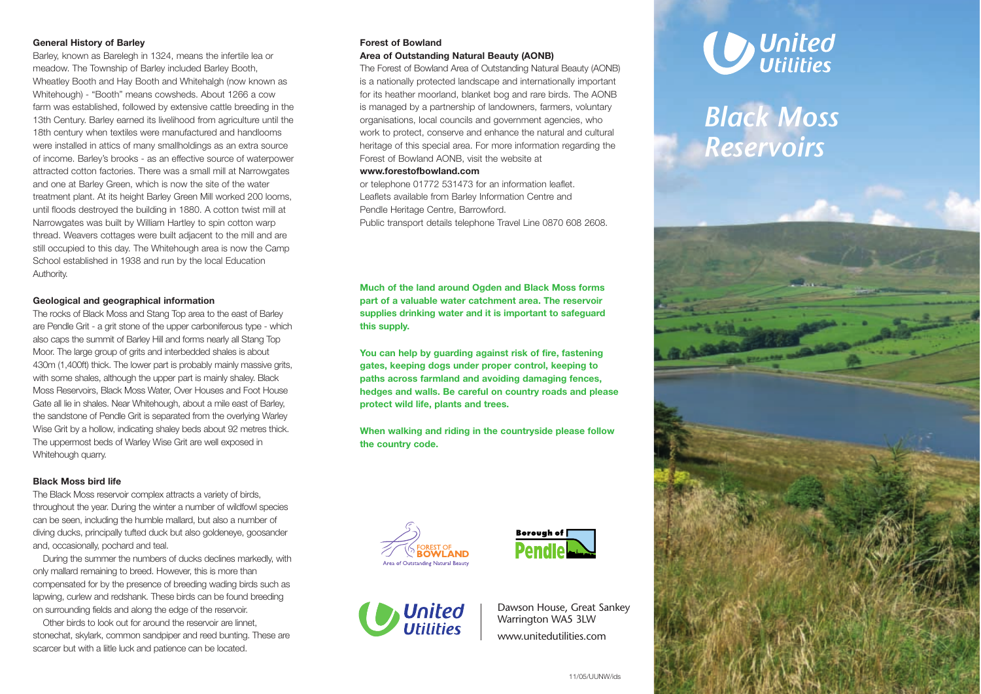## **General History of Barley**

Barley, known as Barelegh in 1324, means the infertile lea or meadow. The Township of Barley included Barley Booth, Wheatley Booth and Hay Booth and Whitehalgh (now known as Whitehough) - "Booth" means cowsheds. About 1266 a cow farm was established, followed by extensive cattle breeding in the 13th Century. Barley earned its livelihood from agriculture until the 18th century when textiles were manufactured and handlooms were installed in attics of many smallholdings as an extra source of income. Barley's brooks - as an effective source of waterpower attracted cotton factories. There was a small mill at Narrowgates and one at Barley Green, which is now the site of the water treatment plant. At its height Barley Green Mill worked 200 looms, until floods destroyed the building in 1880. A cotton twist mill at Narrowgates was built by William Hartley to spin cotton warp thread. Weavers cottages were built adjacent to the mill and are still occupied to this day. The Whitehough area is now the Camp School established in 1938 and run by the local Education Authority.

## **Geological and geographical information**

The rocks of Black Moss and Stang Top area to the east of Barley are Pendle Grit - a grit stone of the upper carboniferous type - which also caps the summit of Barley Hill and forms nearly all Stang Top Moor. The large group of grits and interbedded shales is about 430m (1,400ft) thick. The lower part is probably mainly massive grits, with some shales, although the upper part is mainly shaley. Black Moss Reservoirs, Black Moss Water, Over Houses and Foot House Gate all lie in shales. Near Whitehough, about a mile east of Barley, the sandstone of Pendle Grit is separated from the overlying Warley Wise Grit by a hollow, indicating shaley beds about 92 metres thick. The uppermost beds of Warley Wise Grit are well exposed in Whitehough quarry.

### **Black Moss bird life**

The Black Moss reservoir complex attracts a variety of birds, throughout the year. During the winter a number of wildfowl species can be seen, including the humble mallard, but also a number of diving ducks, principally tufted duck but also goldeneye, goosander and, occasionally, pochard and teal.

During the summer the numbers of ducks declines markedly, with only mallard remaining to breed. However, this is more than compensated for by the presence of breeding wading birds such as lapwing, curlew and redshank. These birds can be found breeding on surrounding fields and along the edge of the reservoir.

Other birds to look out for around the reservoir are linnet, stonechat, skylark, common sandpiper and reed bunting. These are scarcer but with a liitle luck and patience can be located.

# **Forest of Bowland**

# **Area of Outstanding Natural Beauty (AONB)**

The Forest of Bowland Area of Outstanding Natural Beauty (AONB) is a nationally protected landscape and internationally important for its heather moorland, blanket bog and rare birds. The AONB is managed by a partnership of landowners, farmers, voluntary organisations, local councils and government agencies, who work to protect, conserve and enhance the natural and cultural heritage of this special area. For more information regarding the Forest of Bowland AONB, visit the website at

#### **www.forestofbowland.com**

or telephone 01772 531473 for an information leaflet. Leaflets available from Barley Information Centre and Pendle Heritage Centre, Barrowford. Public transport details telephone Travel Line 0870 608 2608.

**Much of the land around Ogden and Black Moss forms part of a valuable water catchment area. The reservoir supplies drinking water and it is important to safeguard this supply.**

**You can help by guarding against risk of fire, fastening gates, keeping dogs under proper control, keeping to paths across farmland and avoiding damaging fences, hedges and walls. Be careful on country roads and please protect wild life, plants and trees.**

**When walking and riding in the countryside please follow the country code.**







Dawson House, Great Sankey Warrington WA5 3LW www.unitedutilities.com



# *Black Moss Reservoirs*